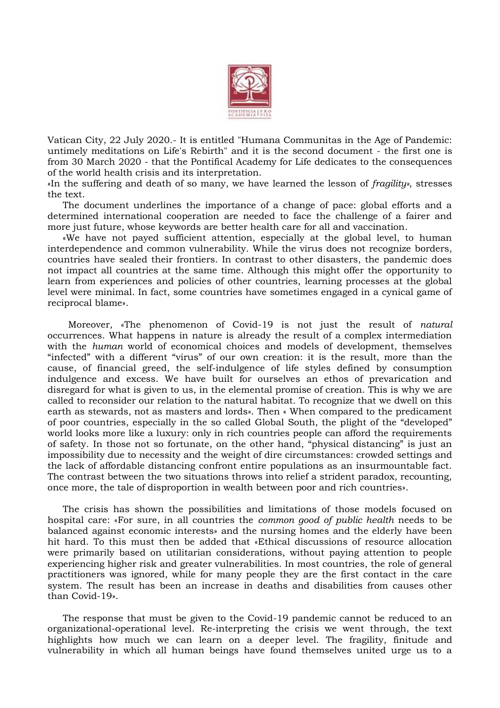

Vatican City, 22 July 2020.- It is entitled "Humana Communitas in the Age of Pandemic: untimely meditations on Life's Rebirth" and it is the second document - the first one is from 30 March 2020 - that the Pontifical Academy for Life dedicates to the consequences of the world health crisis and its interpretation.

«In the suffering and death of so many, we have learned the lesson of *fragility»*, stresses the text.

The document underlines the importance of a change of pace: global efforts and a determined international cooperation are needed to face the challenge of a fairer and more just future, whose keywords are better health care for all and vaccination.

«We have not payed sufficient attention, especially at the global level, to human interdependence and common vulnerability. While the virus does not recognize borders, countries have sealed their frontiers. In contrast to other disasters, the pandemic does not impact all countries at the same time. Although this might offer the opportunity to learn from experiences and policies of other countries, learning processes at the global level were minimal. In fact, some countries have sometimes engaged in a cynical game of reciprocal blame».

 Moreover, «The phenomenon of Covid-19 is not just the result of *natural* occurrences. What happens in nature is already the result of a complex intermediation with the *human* world of economical choices and models of development, themselves "infected" with a different "virus" of our own creation: it is the result, more than the cause, of financial greed, the self-indulgence of life styles defined by consumption indulgence and excess. We have built for ourselves an ethos of prevarication and disregard for what is given to us, in the elemental promise of creation. This is why we are called to reconsider our relation to the natural habitat. To recognize that we dwell on this earth as stewards, not as masters and lords». Then « When compared to the predicament of poor countries, especially in the so called Global South, the plight of the "developed" world looks more like a luxury: only in rich countries people can afford the requirements of safety. In those not so fortunate, on the other hand, "physical distancing" is just an impossibility due to necessity and the weight of dire circumstances: crowded settings and the lack of affordable distancing confront entire populations as an insurmountable fact. The contrast between the two situations throws into relief a strident paradox, recounting, once more, the tale of disproportion in wealth between poor and rich countries».

The crisis has shown the possibilities and limitations of those models focused on hospital care: «For sure, in all countries the *common good of public health* needs to be balanced against economic interests» and the nursing homes and the elderly have been hit hard. To this must then be added that «Ethical discussions of resource allocation were primarily based on utilitarian considerations, without paying attention to people experiencing higher risk and greater vulnerabilities. In most countries, the role of general practitioners was ignored, while for many people they are the first contact in the care system. The result has been an increase in deaths and disabilities from causes other than Covid-19».

The response that must be given to the Covid-19 pandemic cannot be reduced to an organizational-operational level. Re-interpreting the crisis we went through, the text highlights how much we can learn on a deeper level. The fragility, finitude and vulnerability in which all human beings have found themselves united urge us to a